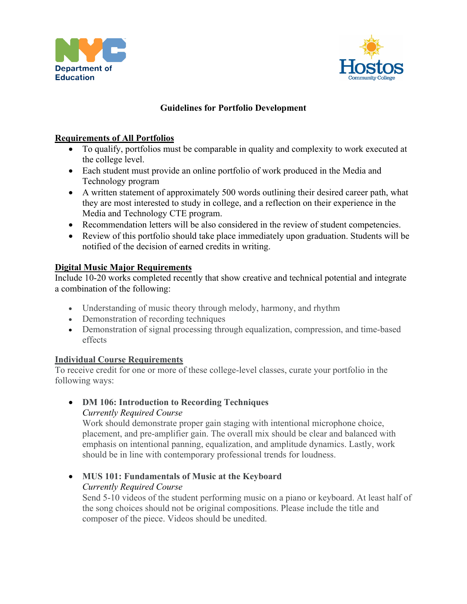



#### **Guidelines for Portfolio Development**

#### **Requirements of All Portfolios**

- To qualify, portfolios must be comparable in quality and complexity to work executed at the college level.
- Each student must provide an online portfolio of work produced in the Media and Technology program
- A written statement of approximately 500 words outlining their desired career path, what they are most interested to study in college, and a reflection on their experience in the Media and Technology CTE program.
- Recommendation letters will be also considered in the review of student competencies.
- Review of this portfolio should take place immediately upon graduation. Students will be notified of the decision of earned credits in writing.

#### **Digital Music Major Requirements**

Include 10-20 works completed recently that show creative and technical potential and integrate a combination of the following:

- Understanding of music theory through melody, harmony, and rhythm
- Demonstration of recording techniques
- Demonstration of signal processing through equalization, compression, and time-based effects

#### **Individual Course Requirements**

To receive credit for one or more of these college-level classes, curate your portfolio in the following ways:

• **DM 106: Introduction to Recording Techniques**

*Currently Required Course* Work should demonstrate proper gain staging with intentional microphone choice, placement, and pre-amplifier gain. The overall mix should be clear and balanced with emphasis on intentional panning, equalization, and amplitude dynamics. Lastly, work should be in line with contemporary professional trends for loudness.

# • **MUS 101: Fundamentals of Music at the Keyboard**

*Currently Required Course*

Send 5-10 videos of the student performing music on a piano or keyboard. At least half of the song choices should not be original compositions. Please include the title and composer of the piece. Videos should be unedited.